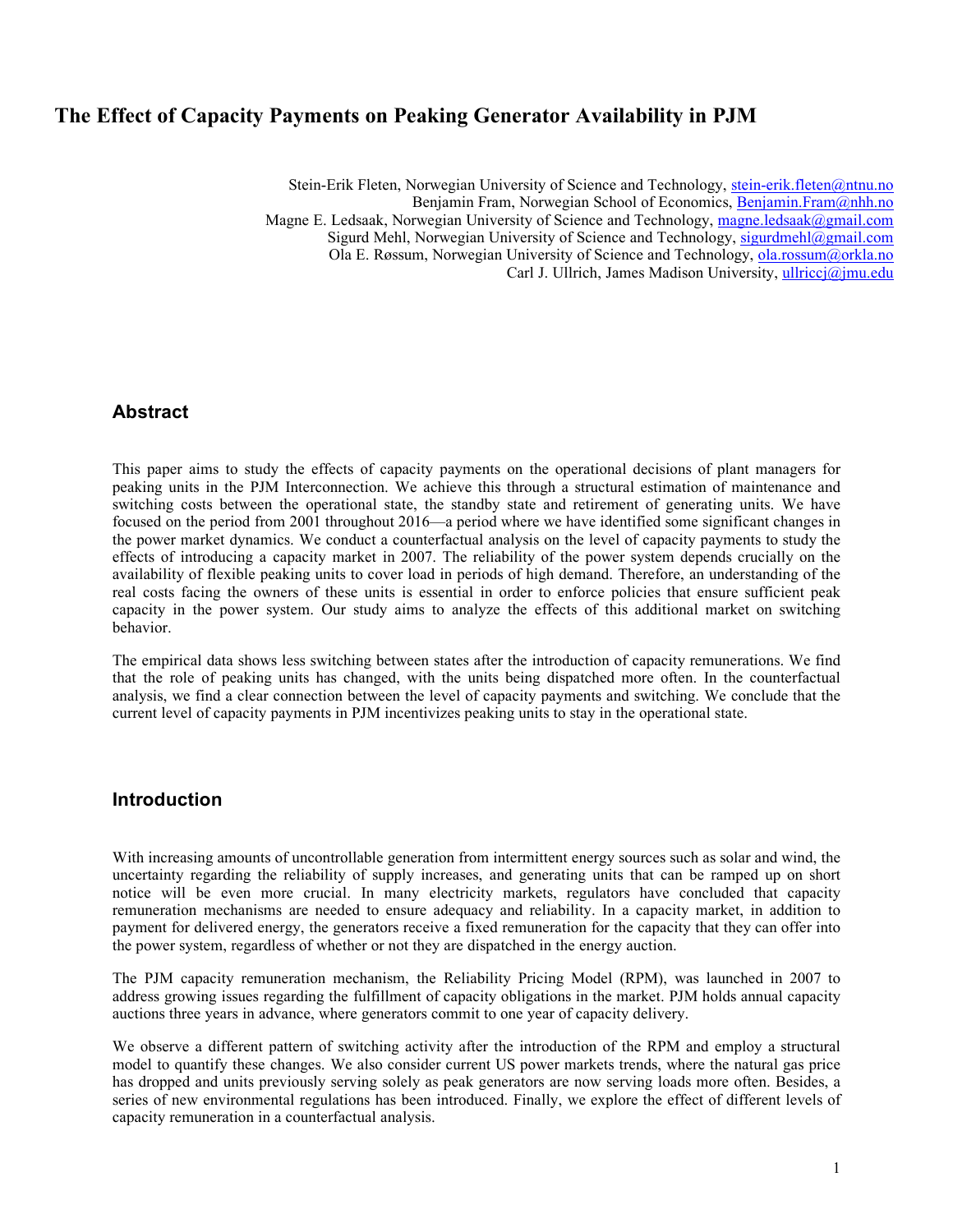# **The Effect of Capacity Payments on Peaking Generator Availability in PJM**

Stein-Erik Fleten, Norwegian University of Science and Technology, stein-erik.fleten@ntnu.no Benjamin Fram, Norwegian School of Economics, Benjamin.Fram@nhh.no Magne E. Ledsaak, Norwegian University of Science and Technology, magne.ledsaak@gmail.com Sigurd Mehl, Norwegian University of Science and Technology, sigurdmehl@gmail.com Ola E. Røssum, Norwegian University of Science and Technology, ola.rossum@orkla.no Carl J. Ullrich, James Madison University, ullriccj@jmu.edu

### **Abstract**

This paper aims to study the effects of capacity payments on the operational decisions of plant managers for peaking units in the PJM Interconnection. We achieve this through a structural estimation of maintenance and switching costs between the operational state, the standby state and retirement of generating units. We have focused on the period from 2001 throughout 2016—a period where we have identified some significant changes in the power market dynamics. We conduct a counterfactual analysis on the level of capacity payments to study the effects of introducing a capacity market in 2007. The reliability of the power system depends crucially on the availability of flexible peaking units to cover load in periods of high demand. Therefore, an understanding of the real costs facing the owners of these units is essential in order to enforce policies that ensure sufficient peak capacity in the power system. Our study aims to analyze the effects of this additional market on switching behavior.

The empirical data shows less switching between states after the introduction of capacity remunerations. We find that the role of peaking units has changed, with the units being dispatched more often. In the counterfactual analysis, we find a clear connection between the level of capacity payments and switching. We conclude that the current level of capacity payments in PJM incentivizes peaking units to stay in the operational state.

### **Introduction**

With increasing amounts of uncontrollable generation from intermittent energy sources such as solar and wind, the uncertainty regarding the reliability of supply increases, and generating units that can be ramped up on short notice will be even more crucial. In many electricity markets, regulators have concluded that capacity remuneration mechanisms are needed to ensure adequacy and reliability. In a capacity market, in addition to payment for delivered energy, the generators receive a fixed remuneration for the capacity that they can offer into the power system, regardless of whether or not they are dispatched in the energy auction.

The PJM capacity remuneration mechanism, the Reliability Pricing Model (RPM), was launched in 2007 to address growing issues regarding the fulfillment of capacity obligations in the market. PJM holds annual capacity auctions three years in advance, where generators commit to one year of capacity delivery.

We observe a different pattern of switching activity after the introduction of the RPM and employ a structural model to quantify these changes. We also consider current US power markets trends, where the natural gas price has dropped and units previously serving solely as peak generators are now serving loads more often. Besides, a series of new environmental regulations has been introduced. Finally, we explore the effect of different levels of capacity remuneration in a counterfactual analysis.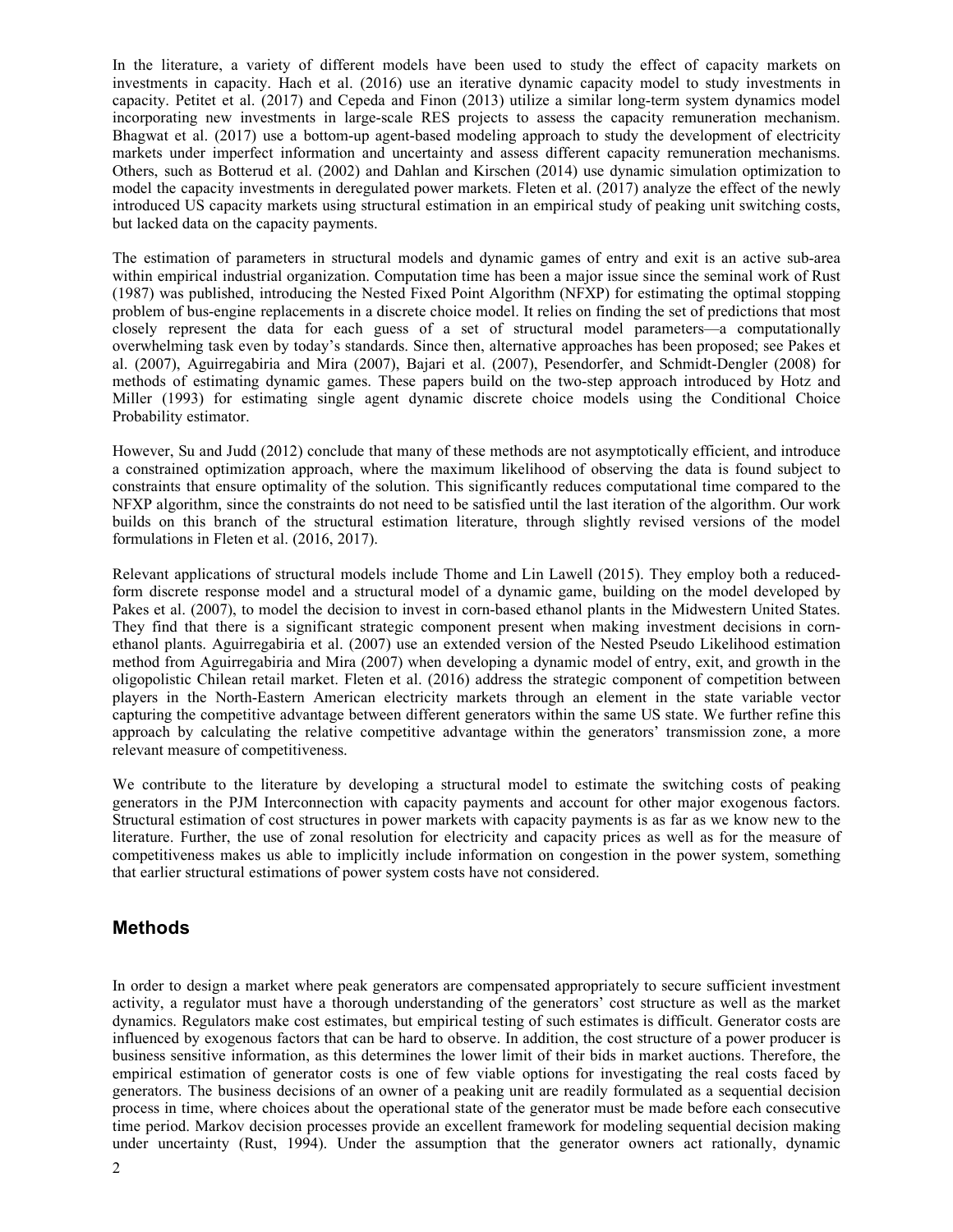In the literature, a variety of different models have been used to study the effect of capacity markets on investments in capacity. Hach et al. (2016) use an iterative dynamic capacity model to study investments in capacity. Petitet et al. (2017) and Cepeda and Finon (2013) utilize a similar long-term system dynamics model incorporating new investments in large-scale RES projects to assess the capacity remuneration mechanism. Bhagwat et al. (2017) use a bottom-up agent-based modeling approach to study the development of electricity markets under imperfect information and uncertainty and assess different capacity remuneration mechanisms. Others, such as Botterud et al. (2002) and Dahlan and Kirschen (2014) use dynamic simulation optimization to model the capacity investments in deregulated power markets. Fleten et al. (2017) analyze the effect of the newly introduced US capacity markets using structural estimation in an empirical study of peaking unit switching costs, but lacked data on the capacity payments.

The estimation of parameters in structural models and dynamic games of entry and exit is an active sub-area within empirical industrial organization. Computation time has been a major issue since the seminal work of Rust (1987) was published, introducing the Nested Fixed Point Algorithm (NFXP) for estimating the optimal stopping problem of bus-engine replacements in a discrete choice model. It relies on finding the set of predictions that most closely represent the data for each guess of a set of structural model parameters—a computationally overwhelming task even by today's standards. Since then, alternative approaches has been proposed; see Pakes et al. (2007), Aguirregabiria and Mira (2007), Bajari et al. (2007), Pesendorfer, and Schmidt-Dengler (2008) for methods of estimating dynamic games. These papers build on the two-step approach introduced by Hotz and Miller (1993) for estimating single agent dynamic discrete choice models using the Conditional Choice Probability estimator.

However, Su and Judd (2012) conclude that many of these methods are not asymptotically efficient, and introduce a constrained optimization approach, where the maximum likelihood of observing the data is found subject to constraints that ensure optimality of the solution. This significantly reduces computational time compared to the NFXP algorithm, since the constraints do not need to be satisfied until the last iteration of the algorithm. Our work builds on this branch of the structural estimation literature, through slightly revised versions of the model formulations in Fleten et al. (2016, 2017).

Relevant applications of structural models include Thome and Lin Lawell (2015). They employ both a reducedform discrete response model and a structural model of a dynamic game, building on the model developed by Pakes et al. (2007), to model the decision to invest in corn-based ethanol plants in the Midwestern United States. They find that there is a significant strategic component present when making investment decisions in cornethanol plants. Aguirregabiria et al. (2007) use an extended version of the Nested Pseudo Likelihood estimation method from Aguirregabiria and Mira (2007) when developing a dynamic model of entry, exit, and growth in the oligopolistic Chilean retail market. Fleten et al. (2016) address the strategic component of competition between players in the North-Eastern American electricity markets through an element in the state variable vector capturing the competitive advantage between different generators within the same US state. We further refine this approach by calculating the relative competitive advantage within the generators' transmission zone, a more relevant measure of competitiveness.

We contribute to the literature by developing a structural model to estimate the switching costs of peaking generators in the PJM Interconnection with capacity payments and account for other major exogenous factors. Structural estimation of cost structures in power markets with capacity payments is as far as we know new to the literature. Further, the use of zonal resolution for electricity and capacity prices as well as for the measure of competitiveness makes us able to implicitly include information on congestion in the power system, something that earlier structural estimations of power system costs have not considered.

### **Methods**

In order to design a market where peak generators are compensated appropriately to secure sufficient investment activity, a regulator must have a thorough understanding of the generators' cost structure as well as the market dynamics. Regulators make cost estimates, but empirical testing of such estimates is difficult. Generator costs are influenced by exogenous factors that can be hard to observe. In addition, the cost structure of a power producer is business sensitive information, as this determines the lower limit of their bids in market auctions. Therefore, the empirical estimation of generator costs is one of few viable options for investigating the real costs faced by generators. The business decisions of an owner of a peaking unit are readily formulated as a sequential decision process in time, where choices about the operational state of the generator must be made before each consecutive time period. Markov decision processes provide an excellent framework for modeling sequential decision making under uncertainty (Rust, 1994). Under the assumption that the generator owners act rationally, dynamic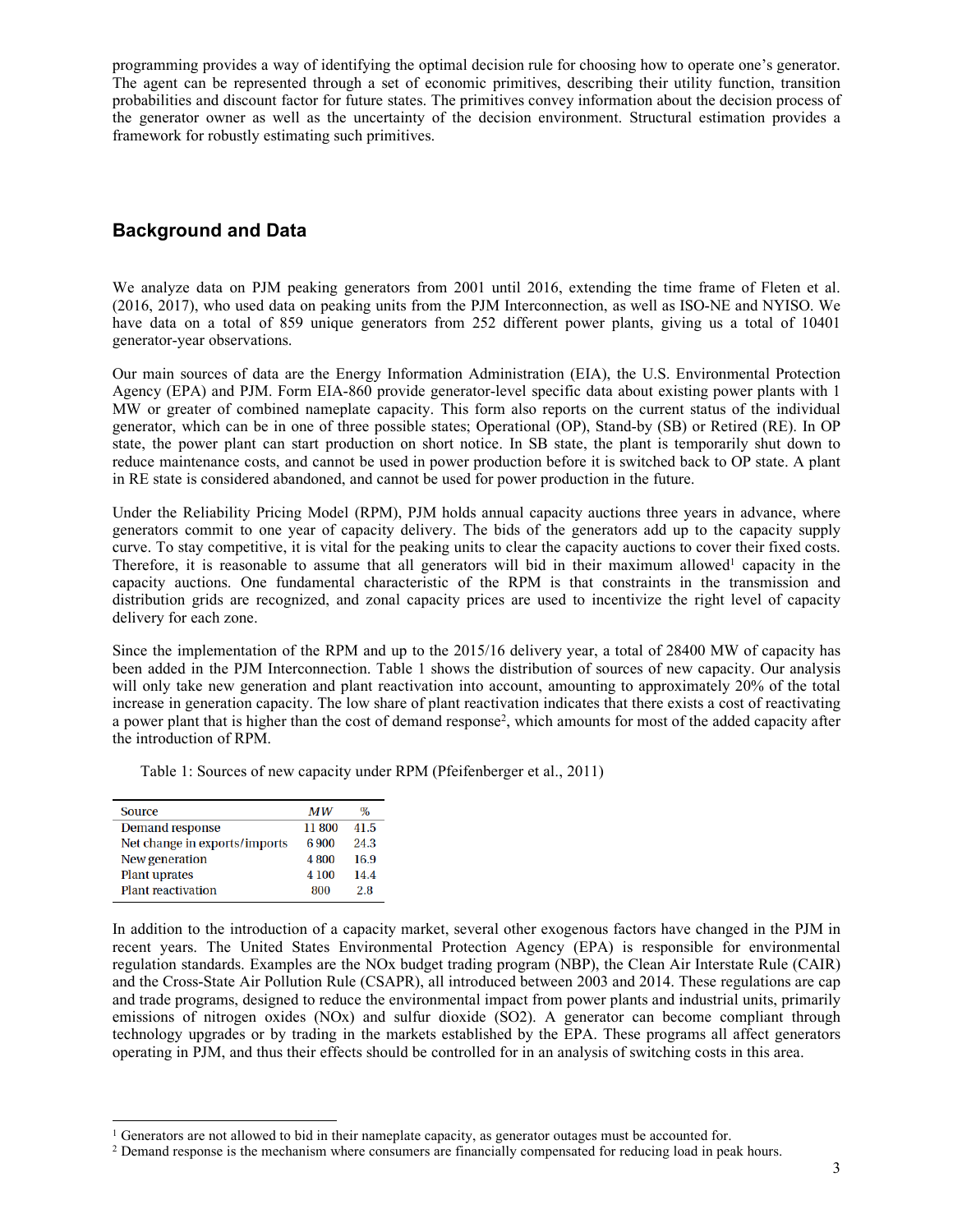programming provides a way of identifying the optimal decision rule for choosing how to operate one's generator. The agent can be represented through a set of economic primitives, describing their utility function, transition probabilities and discount factor for future states. The primitives convey information about the decision process of the generator owner as well as the uncertainty of the decision environment. Structural estimation provides a framework for robustly estimating such primitives.

# **Background and Data**

We analyze data on PJM peaking generators from 2001 until 2016, extending the time frame of Fleten et al. (2016, 2017), who used data on peaking units from the PJM Interconnection, as well as ISO-NE and NYISO. We have data on a total of 859 unique generators from 252 different power plants, giving us a total of 10401 generator-year observations.

Our main sources of data are the Energy Information Administration (EIA), the U.S. Environmental Protection Agency (EPA) and PJM. Form EIA-860 provide generator-level specific data about existing power plants with 1 MW or greater of combined nameplate capacity. This form also reports on the current status of the individual generator, which can be in one of three possible states; Operational (OP), Stand-by (SB) or Retired (RE). In OP state, the power plant can start production on short notice. In SB state, the plant is temporarily shut down to reduce maintenance costs, and cannot be used in power production before it is switched back to OP state. A plant in RE state is considered abandoned, and cannot be used for power production in the future.

Under the Reliability Pricing Model (RPM), PJM holds annual capacity auctions three years in advance, where generators commit to one year of capacity delivery. The bids of the generators add up to the capacity supply curve. To stay competitive, it is vital for the peaking units to clear the capacity auctions to cover their fixed costs. Therefore, it is reasonable to assume that all generators will bid in their maximum allowed<sup>1</sup> capacity in the capacity auctions. One fundamental characteristic of the RPM is that constraints in the transmission and distribution grids are recognized, and zonal capacity prices are used to incentivize the right level of capacity delivery for each zone.

Since the implementation of the RPM and up to the 2015/16 delivery year, a total of 28400 MW of capacity has been added in the PJM Interconnection. Table 1 shows the distribution of sources of new capacity. Our analysis will only take new generation and plant reactivation into account, amounting to approximately 20% of the total increase in generation capacity. The low share of plant reactivation indicates that there exists a cost of reactivating a power plant that is higher than the cost of demand response2, which amounts for most of the added capacity after the introduction of RPM.

Table 1: Sources of new capacity under RPM (Pfeifenberger et al., 2011)

| Source                        | <b>MW</b> | $\%$ |
|-------------------------------|-----------|------|
| <b>Demand response</b>        | 11800     | 41.5 |
| Net change in exports/imports | 6.900     | 24.3 |
| New generation                | 4800      | 16.9 |
| <b>Plant uprates</b>          | 4 100     | 14.4 |
| <b>Plant reactivation</b>     | 800       | 2.8  |

In addition to the introduction of a capacity market, several other exogenous factors have changed in the PJM in recent years. The United States Environmental Protection Agency (EPA) is responsible for environmental regulation standards. Examples are the NOx budget trading program (NBP), the Clean Air Interstate Rule (CAIR) and the Cross-State Air Pollution Rule (CSAPR), all introduced between 2003 and 2014. These regulations are cap and trade programs, designed to reduce the environmental impact from power plants and industrial units, primarily emissions of nitrogen oxides (NOx) and sulfur dioxide (SO2). A generator can become compliant through technology upgrades or by trading in the markets established by the EPA. These programs all affect generators operating in PJM, and thus their effects should be controlled for in an analysis of switching costs in this area.

 <sup>1</sup> Generators are not allowed to bid in their nameplate capacity, as generator outages must be accounted for.

<sup>2</sup> Demand response is the mechanism where consumers are financially compensated for reducing load in peak hours.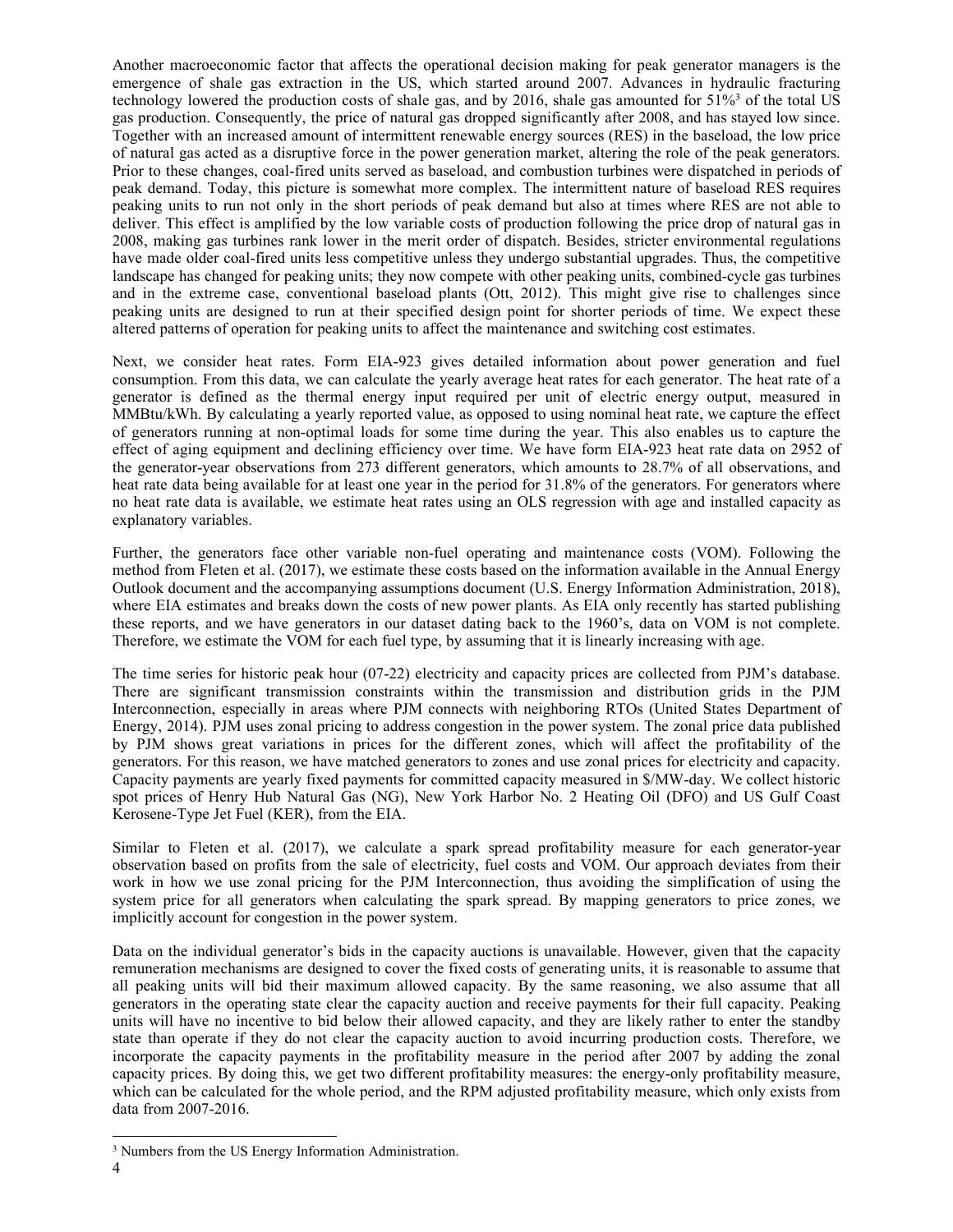Another macroeconomic factor that affects the operational decision making for peak generator managers is the emergence of shale gas extraction in the US, which started around 2007. Advances in hydraulic fracturing technology lowered the production costs of shale gas, and by 2016, shale gas amounted for 51%3 of the total US gas production. Consequently, the price of natural gas dropped significantly after 2008, and has stayed low since. Together with an increased amount of intermittent renewable energy sources (RES) in the baseload, the low price of natural gas acted as a disruptive force in the power generation market, altering the role of the peak generators. Prior to these changes, coal-fired units served as baseload, and combustion turbines were dispatched in periods of peak demand. Today, this picture is somewhat more complex. The intermittent nature of baseload RES requires peaking units to run not only in the short periods of peak demand but also at times where RES are not able to deliver. This effect is amplified by the low variable costs of production following the price drop of natural gas in 2008, making gas turbines rank lower in the merit order of dispatch. Besides, stricter environmental regulations have made older coal-fired units less competitive unless they undergo substantial upgrades. Thus, the competitive landscape has changed for peaking units; they now compete with other peaking units, combined-cycle gas turbines and in the extreme case, conventional baseload plants (Ott, 2012). This might give rise to challenges since peaking units are designed to run at their specified design point for shorter periods of time. We expect these altered patterns of operation for peaking units to affect the maintenance and switching cost estimates.

Next, we consider heat rates. Form EIA-923 gives detailed information about power generation and fuel consumption. From this data, we can calculate the yearly average heat rates for each generator. The heat rate of a generator is defined as the thermal energy input required per unit of electric energy output, measured in MMBtu/kWh. By calculating a yearly reported value, as opposed to using nominal heat rate, we capture the effect of generators running at non-optimal loads for some time during the year. This also enables us to capture the effect of aging equipment and declining efficiency over time. We have form EIA-923 heat rate data on 2952 of the generator-year observations from 273 different generators, which amounts to 28.7% of all observations, and heat rate data being available for at least one year in the period for 31.8% of the generators. For generators where no heat rate data is available, we estimate heat rates using an OLS regression with age and installed capacity as explanatory variables.

Further, the generators face other variable non-fuel operating and maintenance costs (VOM). Following the method from Fleten et al. (2017), we estimate these costs based on the information available in the Annual Energy Outlook document and the accompanying assumptions document (U.S. Energy Information Administration, 2018), where EIA estimates and breaks down the costs of new power plants. As EIA only recently has started publishing these reports, and we have generators in our dataset dating back to the 1960's, data on VOM is not complete. Therefore, we estimate the VOM for each fuel type, by assuming that it is linearly increasing with age.

The time series for historic peak hour (07-22) electricity and capacity prices are collected from PJM's database. There are significant transmission constraints within the transmission and distribution grids in the PJM Interconnection, especially in areas where PJM connects with neighboring RTOs (United States Department of Energy, 2014). PJM uses zonal pricing to address congestion in the power system. The zonal price data published by PJM shows great variations in prices for the different zones, which will affect the profitability of the generators. For this reason, we have matched generators to zones and use zonal prices for electricity and capacity. Capacity payments are yearly fixed payments for committed capacity measured in \$/MW-day. We collect historic spot prices of Henry Hub Natural Gas (NG), New York Harbor No. 2 Heating Oil (DFO) and US Gulf Coast Kerosene-Type Jet Fuel (KER), from the EIA.

Similar to Fleten et al. (2017), we calculate a spark spread profitability measure for each generator-year observation based on profits from the sale of electricity, fuel costs and VOM. Our approach deviates from their work in how we use zonal pricing for the PJM Interconnection, thus avoiding the simplification of using the system price for all generators when calculating the spark spread. By mapping generators to price zones, we implicitly account for congestion in the power system.

Data on the individual generator's bids in the capacity auctions is unavailable. However, given that the capacity remuneration mechanisms are designed to cover the fixed costs of generating units, it is reasonable to assume that all peaking units will bid their maximum allowed capacity. By the same reasoning, we also assume that all generators in the operating state clear the capacity auction and receive payments for their full capacity. Peaking units will have no incentive to bid below their allowed capacity, and they are likely rather to enter the standby state than operate if they do not clear the capacity auction to avoid incurring production costs. Therefore, we incorporate the capacity payments in the profitability measure in the period after 2007 by adding the zonal capacity prices. By doing this, we get two different profitability measures: the energy-only profitability measure, which can be calculated for the whole period, and the RPM adjusted profitability measure, which only exists from data from 2007-2016.

 <sup>3</sup> Numbers from the US Energy Information Administration.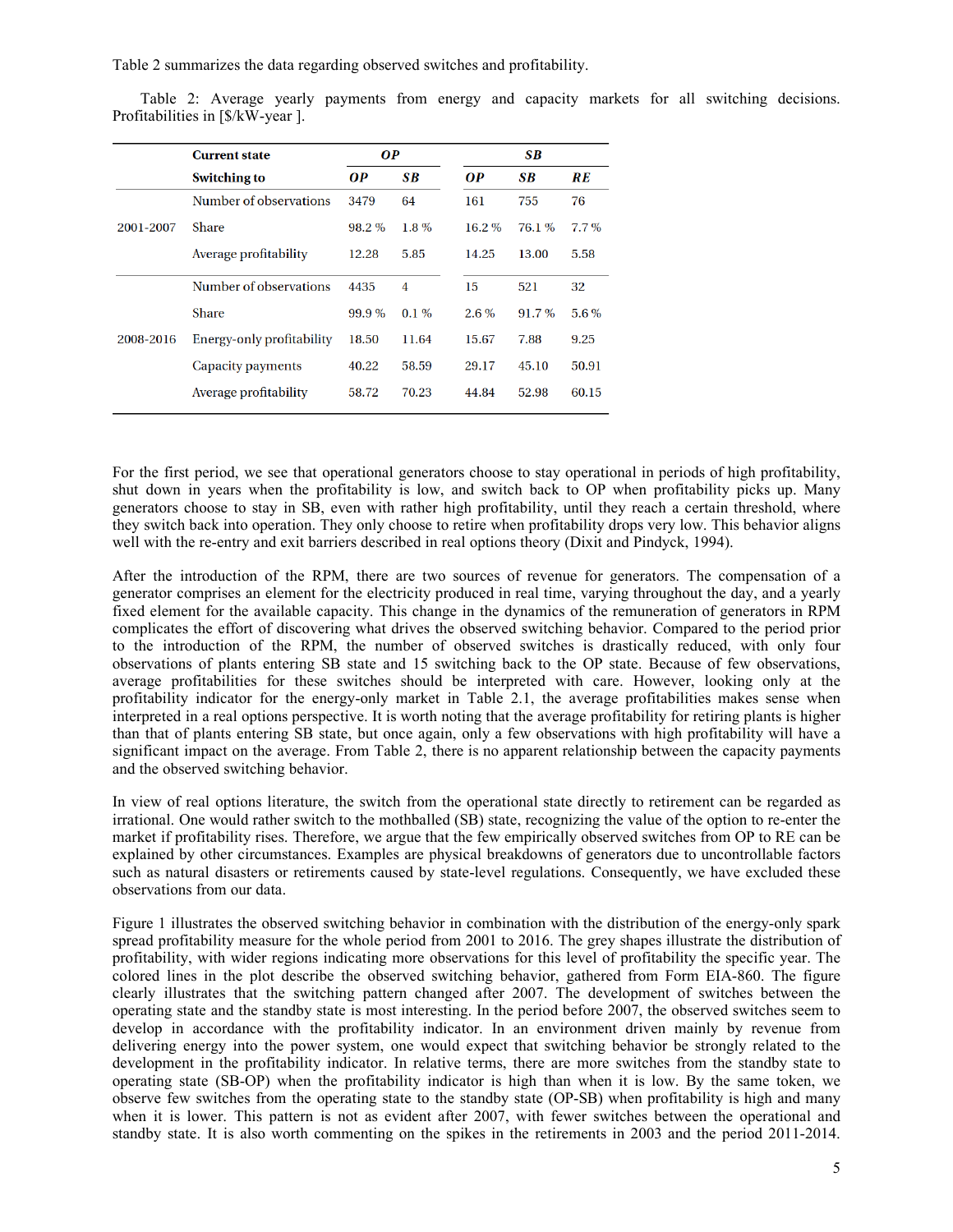Table 2 summarizes the data regarding observed switches and profitability.

Table 2: Average yearly payments from energy and capacity markets for all switching decisions. Profitabilities in [\$/kW-year ].

|           | <b>Current state</b>      | <b>OP</b> |           | <b>SB</b> |          |         |
|-----------|---------------------------|-----------|-----------|-----------|----------|---------|
|           | <b>Switching to</b>       | <b>OP</b> | <b>SB</b> | <b>OP</b> | SB       | RE      |
|           | Number of observations    | 3479      | 64        | 161       | 755      | 76      |
| 2001-2007 | Share                     | $98.2\%$  | $1.8\%$   | $16.2\%$  | 76.1%    | $7.7\%$ |
|           | Average profitability     | 12.28     | 5.85      | 14.25     | 13.00    | 5.58    |
|           | Number of observations    | 4435      | 4         | 15        | 521      | 32      |
|           | Share                     | 99.9%     | $0.1\%$   | $2.6\%$   | $91.7\%$ | 5.6%    |
| 2008-2016 | Energy-only profitability | 18.50     | 11.64     | 15.67     | 7.88     | 9.25    |
|           | Capacity payments         | 40.22     | 58.59     | 29.17     | 45.10    | 50.91   |
|           | Average profitability     | 58.72     | 70.23     | 44.84     | 52.98    | 60.15   |

For the first period, we see that operational generators choose to stay operational in periods of high profitability, shut down in years when the profitability is low, and switch back to OP when profitability picks up. Many generators choose to stay in SB, even with rather high profitability, until they reach a certain threshold, where they switch back into operation. They only choose to retire when profitability drops very low. This behavior aligns well with the re-entry and exit barriers described in real options theory (Dixit and Pindyck, 1994).

After the introduction of the RPM, there are two sources of revenue for generators. The compensation of a generator comprises an element for the electricity produced in real time, varying throughout the day, and a yearly fixed element for the available capacity. This change in the dynamics of the remuneration of generators in RPM complicates the effort of discovering what drives the observed switching behavior. Compared to the period prior to the introduction of the RPM, the number of observed switches is drastically reduced, with only four observations of plants entering SB state and 15 switching back to the OP state. Because of few observations, average profitabilities for these switches should be interpreted with care. However, looking only at the profitability indicator for the energy-only market in Table 2.1, the average profitabilities makes sense when interpreted in a real options perspective. It is worth noting that the average profitability for retiring plants is higher than that of plants entering SB state, but once again, only a few observations with high profitability will have a significant impact on the average. From Table 2, there is no apparent relationship between the capacity payments and the observed switching behavior.

In view of real options literature, the switch from the operational state directly to retirement can be regarded as irrational. One would rather switch to the mothballed (SB) state, recognizing the value of the option to re-enter the market if profitability rises. Therefore, we argue that the few empirically observed switches from OP to RE can be explained by other circumstances. Examples are physical breakdowns of generators due to uncontrollable factors such as natural disasters or retirements caused by state-level regulations. Consequently, we have excluded these observations from our data.

Figure 1 illustrates the observed switching behavior in combination with the distribution of the energy-only spark spread profitability measure for the whole period from 2001 to 2016. The grey shapes illustrate the distribution of profitability, with wider regions indicating more observations for this level of profitability the specific year. The colored lines in the plot describe the observed switching behavior, gathered from Form EIA-860. The figure clearly illustrates that the switching pattern changed after 2007. The development of switches between the operating state and the standby state is most interesting. In the period before 2007, the observed switches seem to develop in accordance with the profitability indicator. In an environment driven mainly by revenue from delivering energy into the power system, one would expect that switching behavior be strongly related to the development in the profitability indicator. In relative terms, there are more switches from the standby state to operating state (SB-OP) when the profitability indicator is high than when it is low. By the same token, we observe few switches from the operating state to the standby state (OP-SB) when profitability is high and many when it is lower. This pattern is not as evident after 2007, with fewer switches between the operational and standby state. It is also worth commenting on the spikes in the retirements in 2003 and the period 2011-2014.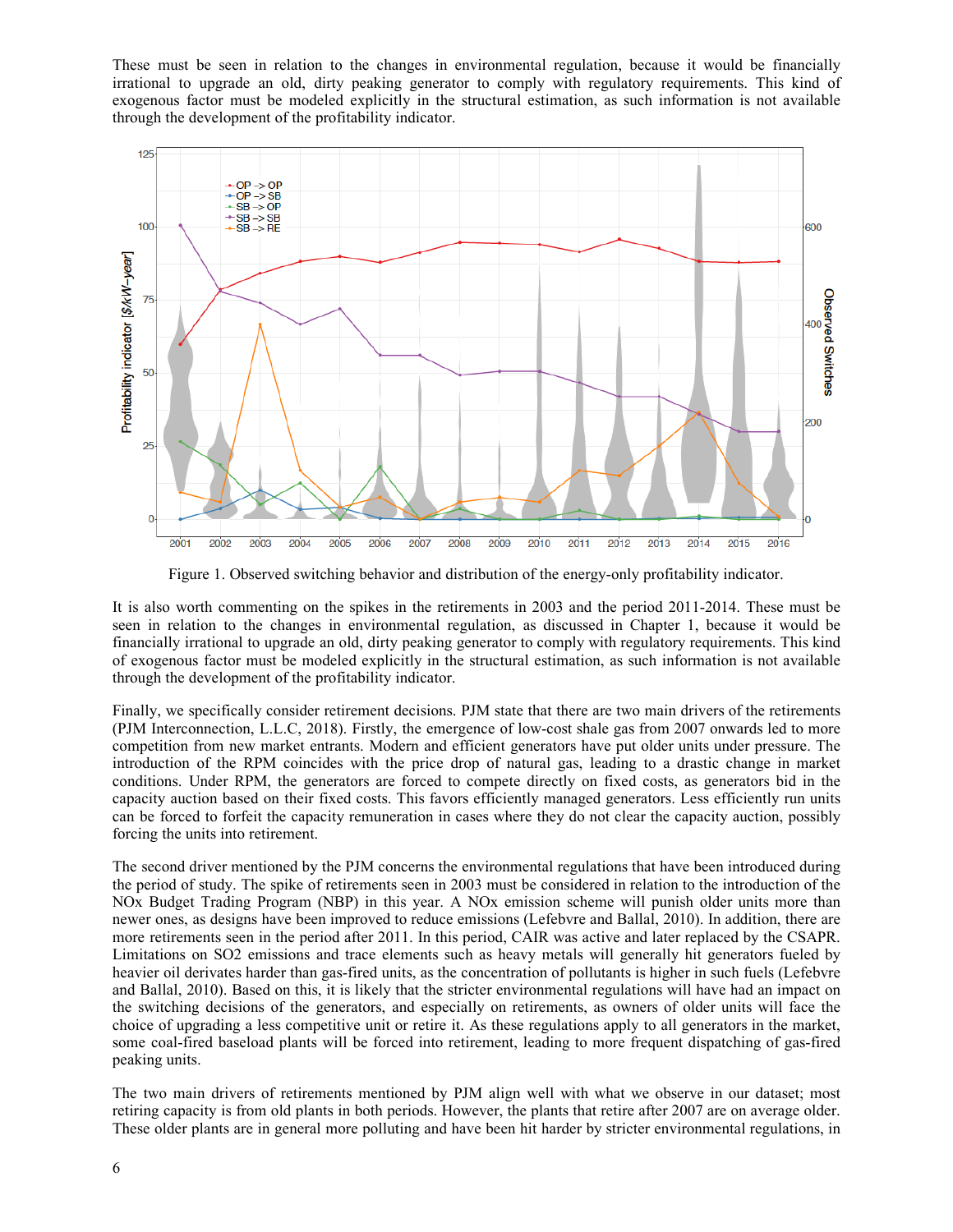These must be seen in relation to the changes in environmental regulation, because it would be financially irrational to upgrade an old, dirty peaking generator to comply with regulatory requirements. This kind of exogenous factor must be modeled explicitly in the structural estimation, as such information is not available through the development of the profitability indicator.



Figure 1. Observed switching behavior and distribution of the energy-only profitability indicator.

It is also worth commenting on the spikes in the retirements in 2003 and the period 2011-2014. These must be seen in relation to the changes in environmental regulation, as discussed in Chapter 1, because it would be financially irrational to upgrade an old, dirty peaking generator to comply with regulatory requirements. This kind of exogenous factor must be modeled explicitly in the structural estimation, as such information is not available through the development of the profitability indicator.

Finally, we specifically consider retirement decisions. PJM state that there are two main drivers of the retirements (PJM Interconnection, L.L.C, 2018). Firstly, the emergence of low-cost shale gas from 2007 onwards led to more competition from new market entrants. Modern and efficient generators have put older units under pressure. The introduction of the RPM coincides with the price drop of natural gas, leading to a drastic change in market conditions. Under RPM, the generators are forced to compete directly on fixed costs, as generators bid in the capacity auction based on their fixed costs. This favors efficiently managed generators. Less efficiently run units can be forced to forfeit the capacity remuneration in cases where they do not clear the capacity auction, possibly forcing the units into retirement.

The second driver mentioned by the PJM concerns the environmental regulations that have been introduced during the period of study. The spike of retirements seen in 2003 must be considered in relation to the introduction of the NOx Budget Trading Program (NBP) in this year. A NOx emission scheme will punish older units more than newer ones, as designs have been improved to reduce emissions (Lefebvre and Ballal, 2010). In addition, there are more retirements seen in the period after 2011. In this period, CAIR was active and later replaced by the CSAPR. Limitations on SO2 emissions and trace elements such as heavy metals will generally hit generators fueled by heavier oil derivates harder than gas-fired units, as the concentration of pollutants is higher in such fuels (Lefebvre and Ballal, 2010). Based on this, it is likely that the stricter environmental regulations will have had an impact on the switching decisions of the generators, and especially on retirements, as owners of older units will face the choice of upgrading a less competitive unit or retire it. As these regulations apply to all generators in the market, some coal-fired baseload plants will be forced into retirement, leading to more frequent dispatching of gas-fired peaking units.

The two main drivers of retirements mentioned by PJM align well with what we observe in our dataset; most retiring capacity is from old plants in both periods. However, the plants that retire after 2007 are on average older. These older plants are in general more polluting and have been hit harder by stricter environmental regulations, in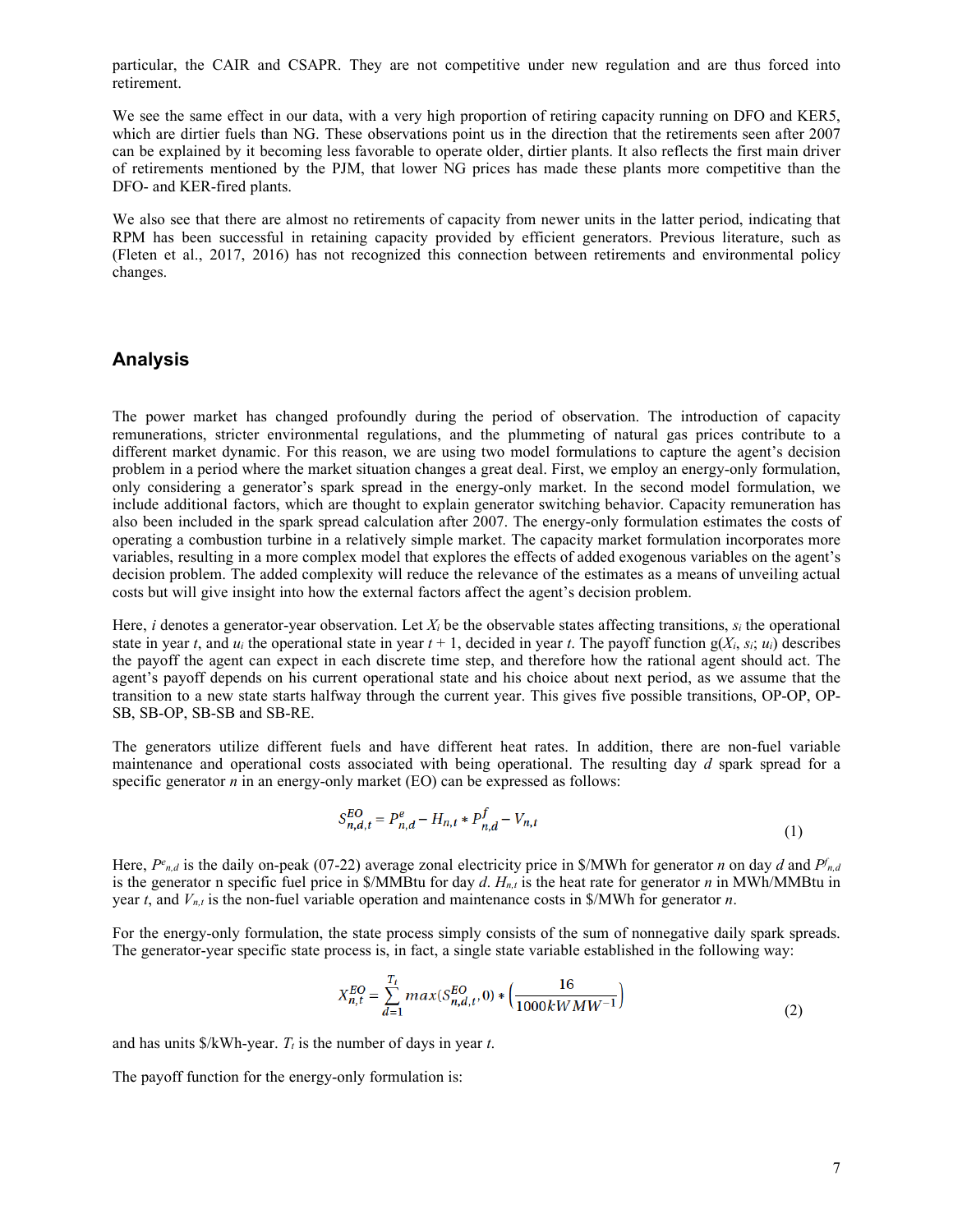particular, the CAIR and CSAPR. They are not competitive under new regulation and are thus forced into retirement.

We see the same effect in our data, with a very high proportion of retiring capacity running on DFO and KER5, which are dirtier fuels than NG. These observations point us in the direction that the retirements seen after 2007 can be explained by it becoming less favorable to operate older, dirtier plants. It also reflects the first main driver of retirements mentioned by the PJM, that lower NG prices has made these plants more competitive than the DFO- and KER-fired plants.

We also see that there are almost no retirements of capacity from newer units in the latter period, indicating that RPM has been successful in retaining capacity provided by efficient generators. Previous literature, such as (Fleten et al., 2017, 2016) has not recognized this connection between retirements and environmental policy changes.

## **Analysis**

The power market has changed profoundly during the period of observation. The introduction of capacity remunerations, stricter environmental regulations, and the plummeting of natural gas prices contribute to a different market dynamic. For this reason, we are using two model formulations to capture the agent's decision problem in a period where the market situation changes a great deal. First, we employ an energy-only formulation, only considering a generator's spark spread in the energy-only market. In the second model formulation, we include additional factors, which are thought to explain generator switching behavior. Capacity remuneration has also been included in the spark spread calculation after 2007. The energy-only formulation estimates the costs of operating a combustion turbine in a relatively simple market. The capacity market formulation incorporates more variables, resulting in a more complex model that explores the effects of added exogenous variables on the agent's decision problem. The added complexity will reduce the relevance of the estimates as a means of unveiling actual costs but will give insight into how the external factors affect the agent's decision problem.

Here, *i* denotes a generator-year observation. Let  $X_i$  be the observable states affecting transitions,  $s_i$  the operational state in year *t*, and  $u_i$  the operational state in year  $t + 1$ , decided in year *t*. The payoff function  $g(X_i, s_i; u_i)$  describes the payoff the agent can expect in each discrete time step, and therefore how the rational agent should act. The agent's payoff depends on his current operational state and his choice about next period, as we assume that the transition to a new state starts halfway through the current year. This gives five possible transitions, OP-OP, OP-SB, SB-OP, SB-SB and SB-RE.

The generators utilize different fuels and have different heat rates. In addition, there are non-fuel variable maintenance and operational costs associated with being operational. The resulting day *d* spark spread for a specific generator *n* in an energy-only market (EO) can be expressed as follows:

$$
S_{n,d,t}^{EO} = P_{n,d}^e - H_{n,t} * P_{n,d}^f - V_{n,t}
$$
\n(1)

Here,  $P_{n,d}$  is the daily on-peak (07-22) average zonal electricity price in \$/MWh for generator *n* on day *d* and  $P_{n,d}$ is the generator n specific fuel price in  $\mathcal{S}/MMB$ tu for day *d.*  $H_{n,t}$  is the heat rate for generator *n* in MWh/MMBtu in year *t*, and *Vn,t* is the non-fuel variable operation and maintenance costs in \$/MWh for generator *n*.

For the energy-only formulation, the state process simply consists of the sum of nonnegative daily spark spreads. The generator-year specific state process is, in fact, a single state variable established in the following way:

$$
X_{n,t}^{EO} = \sum_{d=1}^{T_t} max(S_{n,d,t}^{EO}, 0) * \left(\frac{16}{1000kWMW^{-1}}\right)
$$
 (2)

and has units  $\frac{K}{W}$ h-year. *T<sub>t</sub>* is the number of days in year *t*.

The payoff function for the energy-only formulation is: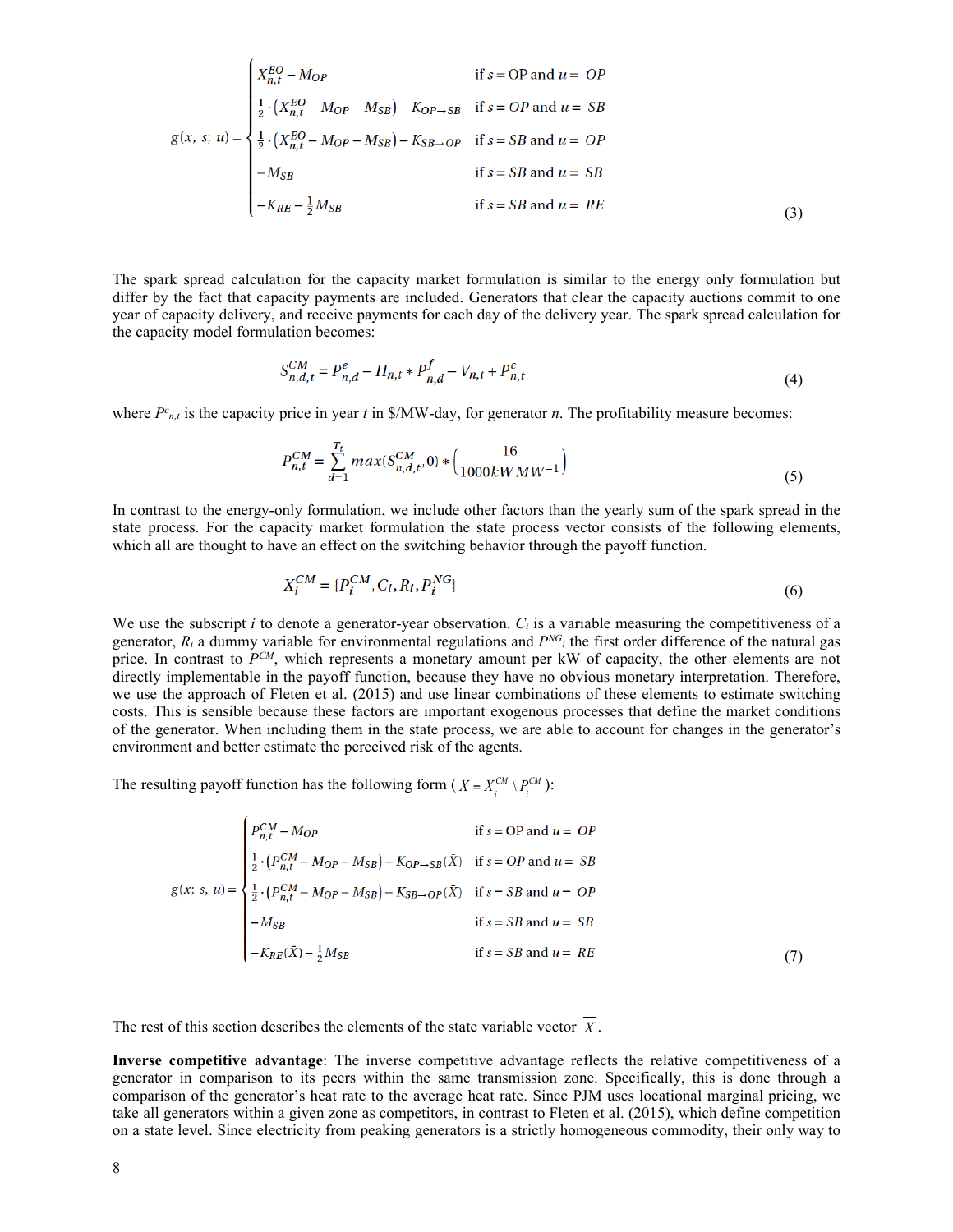$$
g(x, s; u) = \begin{cases} X_{n,t}^{EO} - M_{OP} & \text{if } s = OP \text{ and } u = OP \\ \frac{1}{2} \cdot (X_{n,t}^{EO} - M_{OP} - M_{SB}) - K_{OP \to SB} & \text{if } s = OP \text{ and } u = SB \\ \frac{1}{2} \cdot (X_{n,t}^{EO} - M_{OP} - M_{SB}) - K_{SB \to OP} & \text{if } s = SB \text{ and } u = OP \\ -M_{SB} & \text{if } s = SB \text{ and } u = SB \\ -K_{RE} - \frac{1}{2}M_{SB} & \text{if } s = SB \text{ and } u = RE \end{cases}
$$
(3)

The spark spread calculation for the capacity market formulation is similar to the energy only formulation but differ by the fact that capacity payments are included. Generators that clear the capacity auctions commit to one year of capacity delivery, and receive payments for each day of the delivery year. The spark spread calculation for the capacity model formulation becomes:

$$
S_{n,d,t}^{CM} = P_{n,d}^e - H_{n,t} * P_{n,d}^f - V_{n,t} + P_{n,t}^c
$$
\n(4)

where  $P_{n,t}$  is the capacity price in year t in \$/MW-day, for generator n. The profitability measure becomes:

$$
P_{n,t}^{CM} = \sum_{d=1}^{T_t} max(S_{n,d,t}^{CM}, 0) * \left(\frac{16}{1000kWMW^{-1}}\right)
$$
\n(5)

In contrast to the energy-only formulation, we include other factors than the yearly sum of the spark spread in the state process. For the capacity market formulation the state process vector consists of the following elements, which all are thought to have an effect on the switching behavior through the payoff function.

$$
X_i^{CM} = \{P_i^{CM}, C_i, R_i, P_i^{NG}\}\tag{6}
$$

We use the subscript *i* to denote a generator-year observation.  $C_i$  is a variable measuring the competitiveness of a generator,  $R_i$  a dummy variable for environmental regulations and  $P^{NG}$ <sub>i</sub> the first order difference of the natural gas price. In contrast to  $P^{CM}$ , which represents a monetary amount per kW of capacity, the other elements are not directly implementable in the payoff function, because they have no obvious monetary interpretation. Therefore, we use the approach of Fleten et al. (2015) and use linear combinations of these elements to estimate switching costs. This is sensible because these factors are important exogenous processes that define the market conditions of the generator. When including them in the state process, we are able to account for changes in the generator's environment and better estimate the perceived risk of the agents.

The resulting payoff function has the following form  $(X = X_i^{CM} \setminus P_i^{CM})$ :

$$
g(x; s, u) = \begin{cases} P_{n,t}^{CM} - M_{OP} & \text{if } s = OP \text{ and } u = OP \\ \frac{1}{2} \cdot (P_{n,t}^{CM} - M_{OP} - M_{SB}) - K_{OP \to SB}(\bar{X}) & \text{if } s = OP \text{ and } u = SB \\ \frac{1}{2} \cdot (P_{n,t}^{CM} - M_{OP} - M_{SB}) - K_{SB \to OP}(\bar{X}) & \text{if } s = SB \text{ and } u = OP \\ - M_{SB} & \text{if } s = SB \text{ and } u = SB \\ - K_{RE}(\bar{X}) - \frac{1}{2} M_{SB} & \text{if } s = SB \text{ and } u = RE \end{cases} \tag{7}
$$

The rest of this section describes the elements of the state variable vector  $X$ .

**Inverse competitive advantage**: The inverse competitive advantage reflects the relative competitiveness of a generator in comparison to its peers within the same transmission zone. Specifically, this is done through a comparison of the generator's heat rate to the average heat rate. Since PJM uses locational marginal pricing, we take all generators within a given zone as competitors, in contrast to Fleten et al. (2015), which define competition on a state level. Since electricity from peaking generators is a strictly homogeneous commodity, their only way to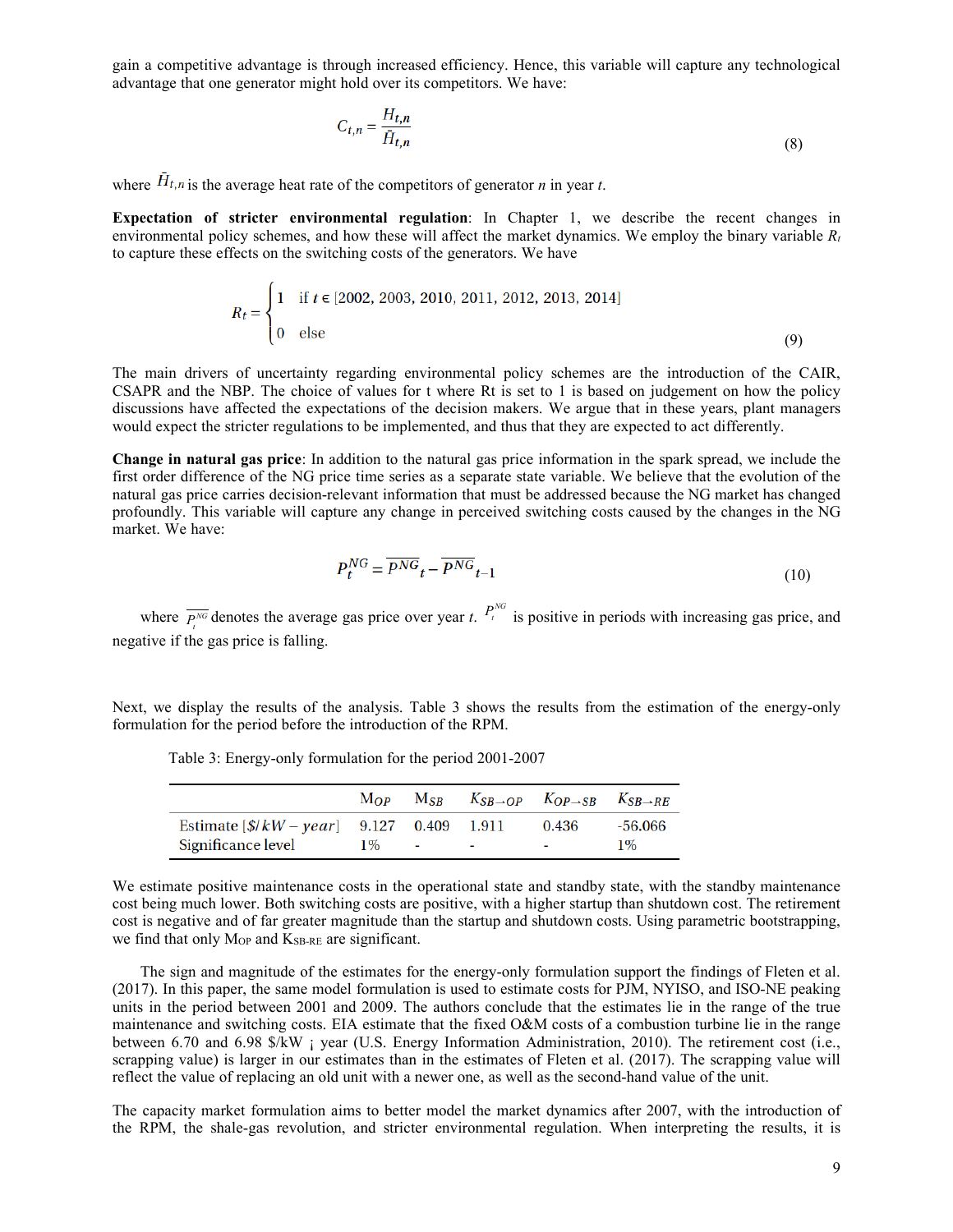gain a competitive advantage is through increased efficiency. Hence, this variable will capture any technological advantage that one generator might hold over its competitors. We have:

$$
C_{t,n} = \frac{H_{t,n}}{\bar{H}_{t,n}}\tag{8}
$$

where  $\bar{H}_{t,n}$  is the average heat rate of the competitors of generator *n* in year *t*.

**Expectation of stricter environmental regulation**: In Chapter 1, we describe the recent changes in environmental policy schemes, and how these will affect the market dynamics. We employ the binary variable *Rt* to capture these effects on the switching costs of the generators. We have

$$
R_t = \begin{cases} 1 & \text{if } t \in [2002, 2003, 2010, 2011, 2012, 2013, 2014] \\ 0 & \text{else} \end{cases} \tag{9}
$$

The main drivers of uncertainty regarding environmental policy schemes are the introduction of the CAIR, CSAPR and the NBP. The choice of values for t where Rt is set to 1 is based on judgement on how the policy discussions have affected the expectations of the decision makers. We argue that in these years, plant managers would expect the stricter regulations to be implemented, and thus that they are expected to act differently.

**Change in natural gas price**: In addition to the natural gas price information in the spark spread, we include the first order difference of the NG price time series as a separate state variable. We believe that the evolution of the natural gas price carries decision-relevant information that must be addressed because the NG market has changed profoundly. This variable will capture any change in perceived switching costs caused by the changes in the NG market. We have:

$$
P_t^{NG} = \overline{P^{NG}}_t - \overline{P^{NG}}_{t-1}
$$
\n<sup>(10)</sup>

where  $\overline{P_t^{NG}}$  denotes the average gas price over year *t*.  $P_t^{NG}$  is positive in periods with increasing gas price, and negative if the gas price is falling.

Next, we display the results of the analysis. Table 3 shows the results from the estimation of the energy-only formulation for the period before the introduction of the RPM.

|                                                                          | $\bf{M}$ $\bf{O}$ $\bf{P}$ | $M_{SR}$   | $K_{SB\rightarrow OP}$ $K_{OP\rightarrow SB}$ $K_{SB\rightarrow RE}$ |                  |
|--------------------------------------------------------------------------|----------------------------|------------|----------------------------------------------------------------------|------------------|
| Estimate $[\frac{k}{k}W - year]$ 9.127 0.409 1.911<br>Significance level | $1\%$                      | $\sim$ $-$ | 0.436<br>$\overline{\phantom{a}}$                                    | -56.066<br>$1\%$ |

Table 3: Energy-only formulation for the period 2001-2007

We estimate positive maintenance costs in the operational state and standby state, with the standby maintenance cost being much lower. Both switching costs are positive, with a higher startup than shutdown cost. The retirement cost is negative and of far greater magnitude than the startup and shutdown costs. Using parametric bootstrapping, we find that only Mop and KSB-RE are significant.

The sign and magnitude of the estimates for the energy-only formulation support the findings of Fleten et al. (2017). In this paper, the same model formulation is used to estimate costs for PJM, NYISO, and ISO-NE peaking units in the period between 2001 and 2009. The authors conclude that the estimates lie in the range of the true maintenance and switching costs. EIA estimate that the fixed O&M costs of a combustion turbine lie in the range between 6.70 and 6.98 \$/kW ¡ year (U.S. Energy Information Administration, 2010). The retirement cost (i.e., scrapping value) is larger in our estimates than in the estimates of Fleten et al. (2017). The scrapping value will reflect the value of replacing an old unit with a newer one, as well as the second-hand value of the unit.

The capacity market formulation aims to better model the market dynamics after 2007, with the introduction of the RPM, the shale-gas revolution, and stricter environmental regulation. When interpreting the results, it is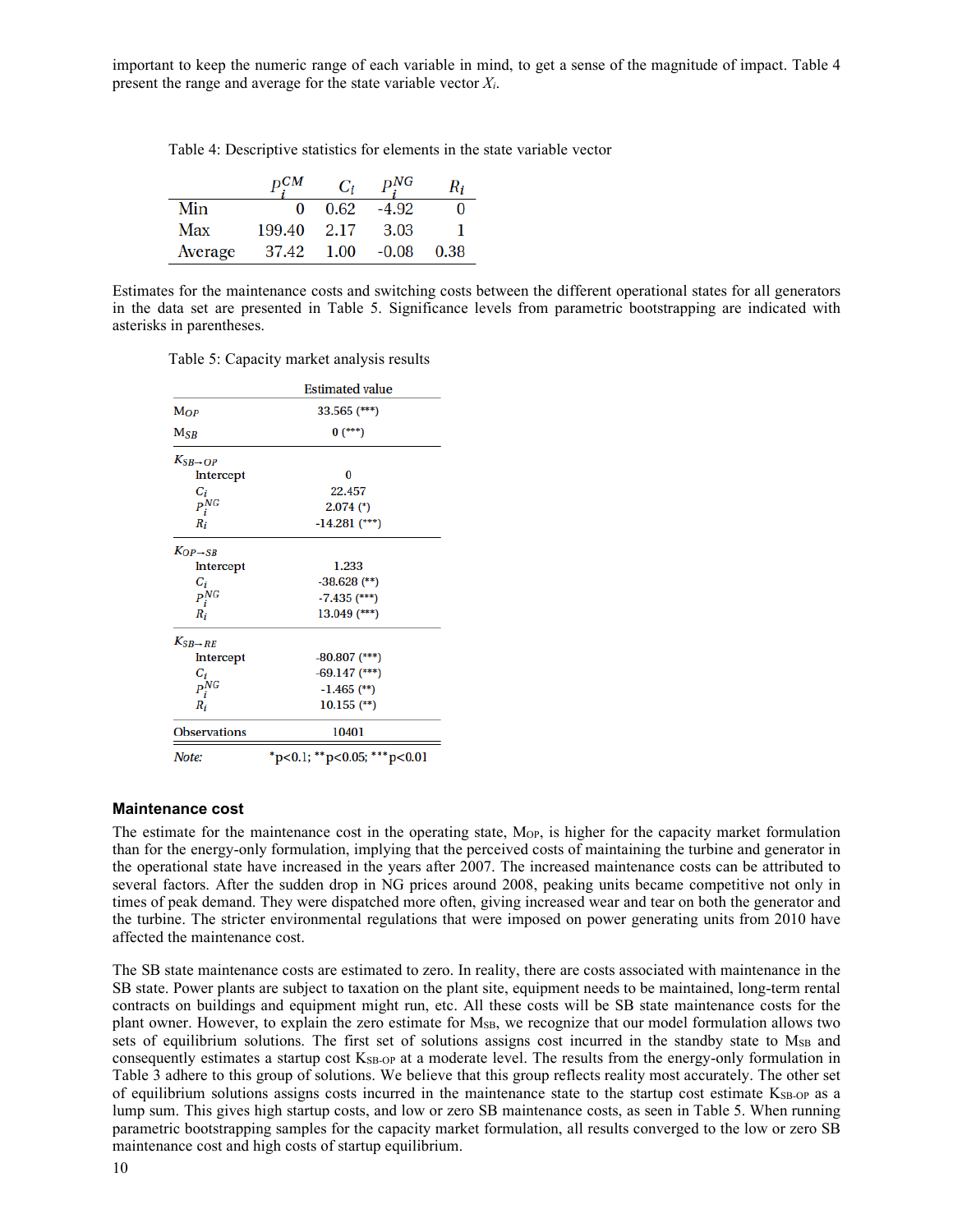important to keep the numeric range of each variable in mind, to get a sense of the magnitude of impact. Table 4 present the range and average for the state variable vector *Xi*.

Table 4: Descriptive statistics for elements in the state variable vector

|         | $\mathbf{D}^{CM}$ | $C_i$ | $P_{\cdot}^{NG}$ | $R_i$ |
|---------|-------------------|-------|------------------|-------|
| Min     | 0                 | 0.62  | $-4.92$          |       |
| Max     | 199.40            | 2.17  | 3.03             |       |
| Average | 37.42             | 1.00  | $-0.08$          | 0.38  |

Estimates for the maintenance costs and switching costs between the different operational states for all generators in the data set are presented in Table 5. Significance levels from parametric bootstrapping are indicated with asterisks in parentheses.

Table 5: Capacity market analysis results

|                        | <b>Estimated value</b>                     |  |
|------------------------|--------------------------------------------|--|
| $\bf{M}$               | $33.565$ (***)                             |  |
| M <sub>SR</sub>        | $0$ (***)                                  |  |
| $K_{SB\rightarrow OP}$ |                                            |  |
| Intercept              | 0                                          |  |
| $C_i$                  | 22.457                                     |  |
| $P_i^{NG}$             | $2.074$ (*)                                |  |
| $R_i$                  | $-14.281$ (***)                            |  |
| $K_{OP\rightarrow SB}$ |                                            |  |
| Intercept              | 1.233                                      |  |
| $C_i$                  | $-38.628$ (**)                             |  |
| $P_i^{NG}$             | $-7.435$ (***)                             |  |
| $R_i$                  | $13.049$ (***)                             |  |
| $K_{SB\rightarrow RE}$ |                                            |  |
| Intercept              | $-80.807$ (***)                            |  |
| $C_i$                  | $-69.147$ (***)                            |  |
| $P_i^{\overline{NG}}$  | $-1.465$ (**)                              |  |
| $R_i$                  | $10.155$ (**)                              |  |
| <b>Observations</b>    | 10401                                      |  |
| Note:                  | $*_{p<0.1}$ ; $*_{p<0.05}$ ; $**_{p<0.01}$ |  |

#### **Maintenance cost**

The estimate for the maintenance cost in the operating state, M<sub>OP</sub>, is higher for the capacity market formulation than for the energy-only formulation, implying that the perceived costs of maintaining the turbine and generator in the operational state have increased in the years after 2007. The increased maintenance costs can be attributed to several factors. After the sudden drop in NG prices around 2008, peaking units became competitive not only in times of peak demand. They were dispatched more often, giving increased wear and tear on both the generator and the turbine. The stricter environmental regulations that were imposed on power generating units from 2010 have affected the maintenance cost.

The SB state maintenance costs are estimated to zero. In reality, there are costs associated with maintenance in the SB state. Power plants are subject to taxation on the plant site, equipment needs to be maintained, long-term rental contracts on buildings and equipment might run, etc. All these costs will be SB state maintenance costs for the plant owner. However, to explain the zero estimate for MSB, we recognize that our model formulation allows two sets of equilibrium solutions. The first set of solutions assigns cost incurred in the standby state to M<sub>SB</sub> and consequently estimates a startup cost K<sub>SB-OP</sub> at a moderate level. The results from the energy-only formulation in Table 3 adhere to this group of solutions. We believe that this group reflects reality most accurately. The other set of equilibrium solutions assigns costs incurred in the maintenance state to the startup cost estimate K<sub>SB-OP</sub> as a lump sum. This gives high startup costs, and low or zero SB maintenance costs, as seen in Table 5. When running parametric bootstrapping samples for the capacity market formulation, all results converged to the low or zero SB maintenance cost and high costs of startup equilibrium.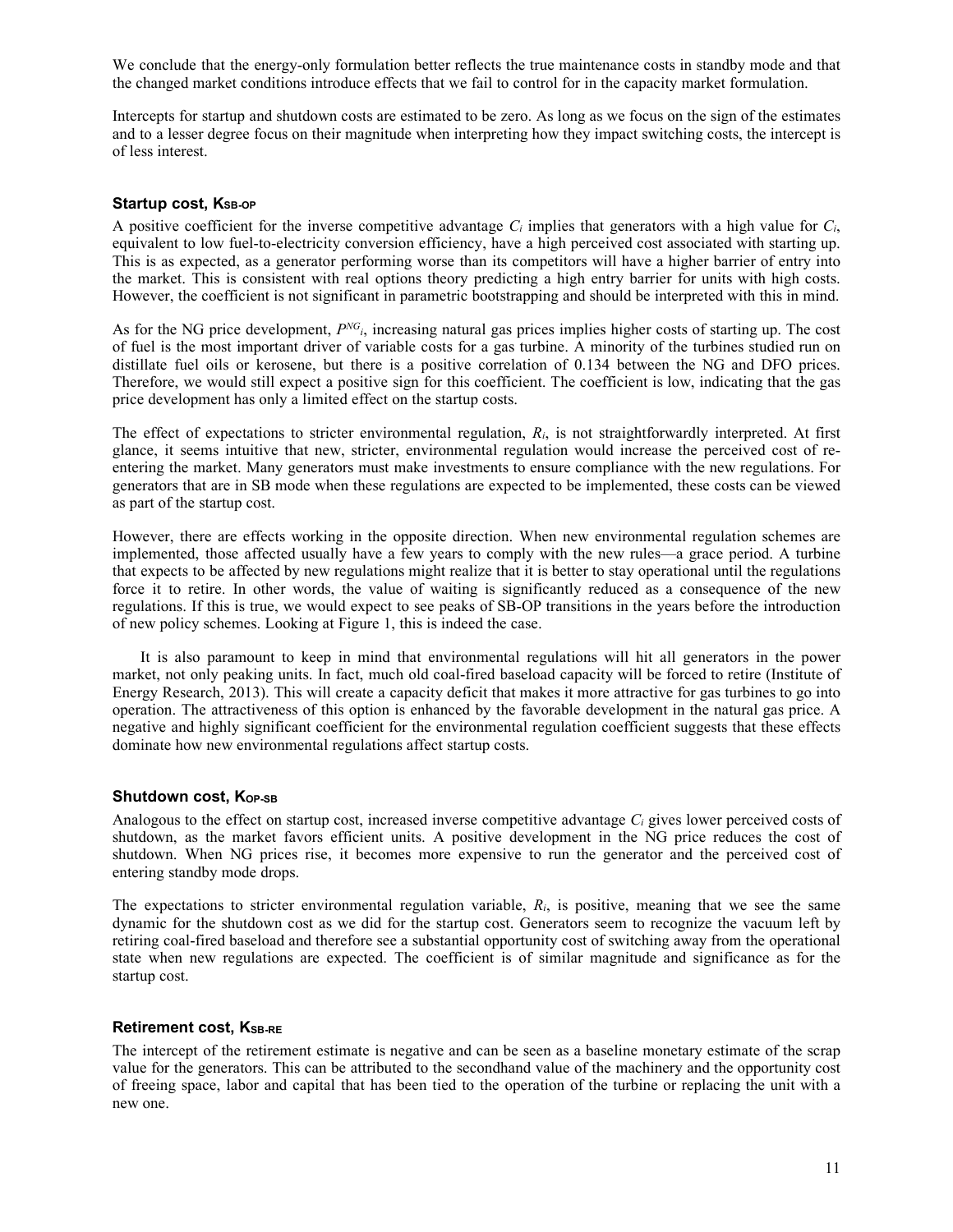We conclude that the energy-only formulation better reflects the true maintenance costs in standby mode and that the changed market conditions introduce effects that we fail to control for in the capacity market formulation.

Intercepts for startup and shutdown costs are estimated to be zero. As long as we focus on the sign of the estimates and to a lesser degree focus on their magnitude when interpreting how they impact switching costs, the intercept is of less interest.

#### Startup cost, K<sub>SB-OP</sub>

A positive coefficient for the inverse competitive advantage *Ci* implies that generators with a high value for *Ci*, equivalent to low fuel-to-electricity conversion efficiency, have a high perceived cost associated with starting up. This is as expected, as a generator performing worse than its competitors will have a higher barrier of entry into the market. This is consistent with real options theory predicting a high entry barrier for units with high costs. However, the coefficient is not significant in parametric bootstrapping and should be interpreted with this in mind.

As for the NG price development,  $P^{NG}$ , increasing natural gas prices implies higher costs of starting up. The cost of fuel is the most important driver of variable costs for a gas turbine. A minority of the turbines studied run on distillate fuel oils or kerosene, but there is a positive correlation of 0.134 between the NG and DFO prices. Therefore, we would still expect a positive sign for this coefficient. The coefficient is low, indicating that the gas price development has only a limited effect on the startup costs.

The effect of expectations to stricter environmental regulation, *Ri*, is not straightforwardly interpreted. At first glance, it seems intuitive that new, stricter, environmental regulation would increase the perceived cost of reentering the market. Many generators must make investments to ensure compliance with the new regulations. For generators that are in SB mode when these regulations are expected to be implemented, these costs can be viewed as part of the startup cost.

However, there are effects working in the opposite direction. When new environmental regulation schemes are implemented, those affected usually have a few years to comply with the new rules—a grace period. A turbine that expects to be affected by new regulations might realize that it is better to stay operational until the regulations force it to retire. In other words, the value of waiting is significantly reduced as a consequence of the new regulations. If this is true, we would expect to see peaks of SB-OP transitions in the years before the introduction of new policy schemes. Looking at Figure 1, this is indeed the case.

It is also paramount to keep in mind that environmental regulations will hit all generators in the power market, not only peaking units. In fact, much old coal-fired baseload capacity will be forced to retire (Institute of Energy Research, 2013). This will create a capacity deficit that makes it more attractive for gas turbines to go into operation. The attractiveness of this option is enhanced by the favorable development in the natural gas price. A negative and highly significant coefficient for the environmental regulation coefficient suggests that these effects dominate how new environmental regulations affect startup costs.

#### Shutdown cost, K<sub>OP-SB</sub>

Analogous to the effect on startup cost, increased inverse competitive advantage *Ci* gives lower perceived costs of shutdown, as the market favors efficient units. A positive development in the NG price reduces the cost of shutdown. When NG prices rise, it becomes more expensive to run the generator and the perceived cost of entering standby mode drops.

The expectations to stricter environmental regulation variable, *Ri*, is positive, meaning that we see the same dynamic for the shutdown cost as we did for the startup cost. Generators seem to recognize the vacuum left by retiring coal-fired baseload and therefore see a substantial opportunity cost of switching away from the operational state when new regulations are expected. The coefficient is of similar magnitude and significance as for the startup cost.

#### **Retirement cost, KSB-RE**

The intercept of the retirement estimate is negative and can be seen as a baseline monetary estimate of the scrap value for the generators. This can be attributed to the secondhand value of the machinery and the opportunity cost of freeing space, labor and capital that has been tied to the operation of the turbine or replacing the unit with a new one.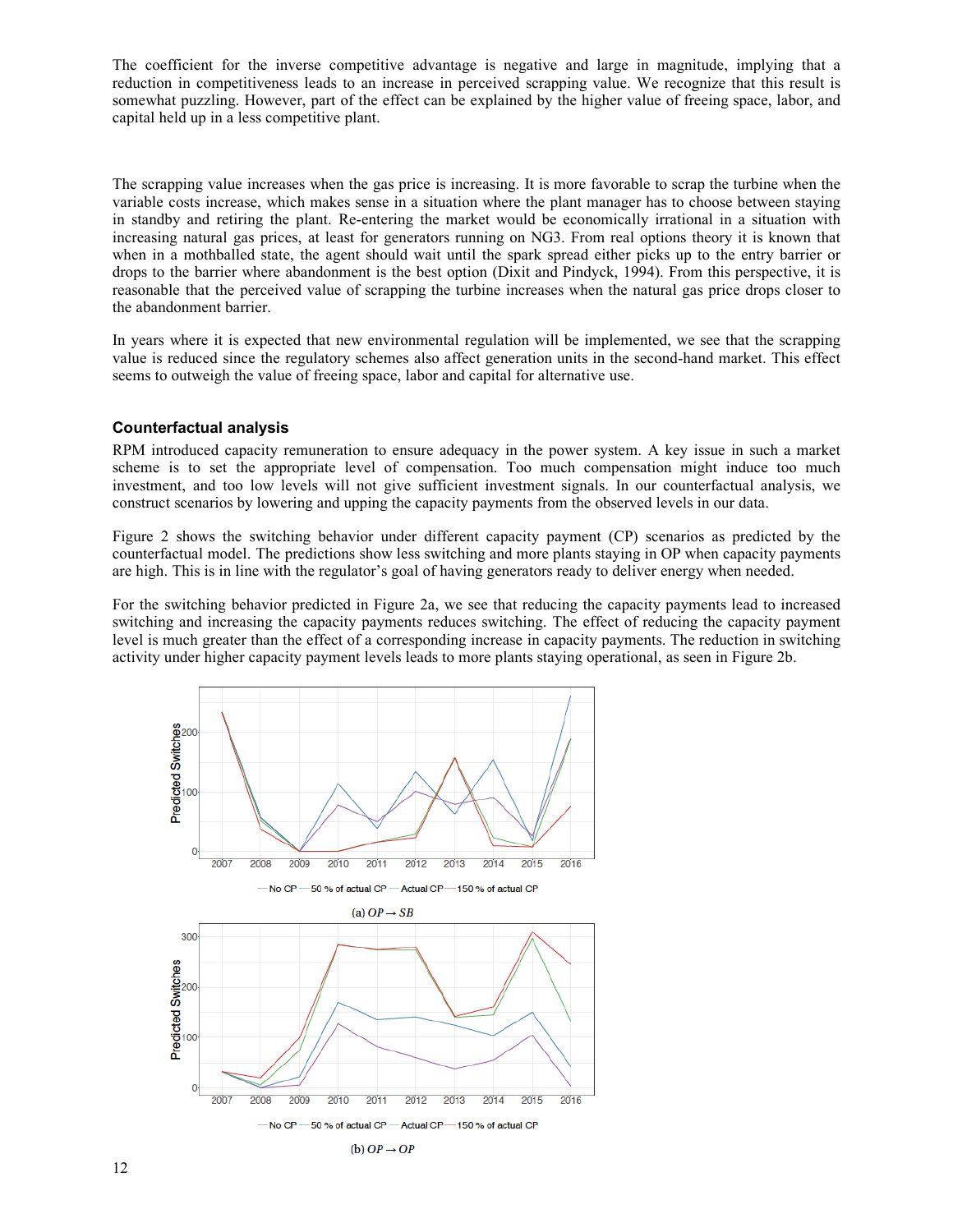The coefficient for the inverse competitive advantage is negative and large in magnitude, implying that a reduction in competitiveness leads to an increase in perceived scrapping value. We recognize that this result is somewhat puzzling. However, part of the effect can be explained by the higher value of freeing space, labor, and capital held up in a less competitive plant.

The scrapping value increases when the gas price is increasing. It is more favorable to scrap the turbine when the variable costs increase, which makes sense in a situation where the plant manager has to choose between staying in standby and retiring the plant. Re-entering the market would be economically irrational in a situation with increasing natural gas prices, at least for generators running on NG3. From real options theory it is known that when in a mothballed state, the agent should wait until the spark spread either picks up to the entry barrier or drops to the barrier where abandonment is the best option (Dixit and Pindyck, 1994). From this perspective, it is reasonable that the perceived value of scrapping the turbine increases when the natural gas price drops closer to the abandonment barrier.

In years where it is expected that new environmental regulation will be implemented, we see that the scrapping value is reduced since the regulatory schemes also affect generation units in the second-hand market. This effect seems to outweigh the value of freeing space, labor and capital for alternative use.

#### **Counterfactual analysis**

RPM introduced capacity remuneration to ensure adequacy in the power system. A key issue in such a market scheme is to set the appropriate level of compensation. Too much compensation might induce too much investment, and too low levels will not give sufficient investment signals. In our counterfactual analysis, we construct scenarios by lowering and upping the capacity payments from the observed levels in our data.

Figure 2 shows the switching behavior under different capacity payment (CP) scenarios as predicted by the counterfactual model. The predictions show less switching and more plants staying in OP when capacity payments are high. This is in line with the regulator's goal of having generators ready to deliver energy when needed.

For the switching behavior predicted in Figure 2a, we see that reducing the capacity payments lead to increased switching and increasing the capacity payments reduces switching. The effect of reducing the capacity payment level is much greater than the effect of a corresponding increase in capacity payments. The reduction in switching activity under higher capacity payment levels leads to more plants staying operational, as seen in Figure 2b.

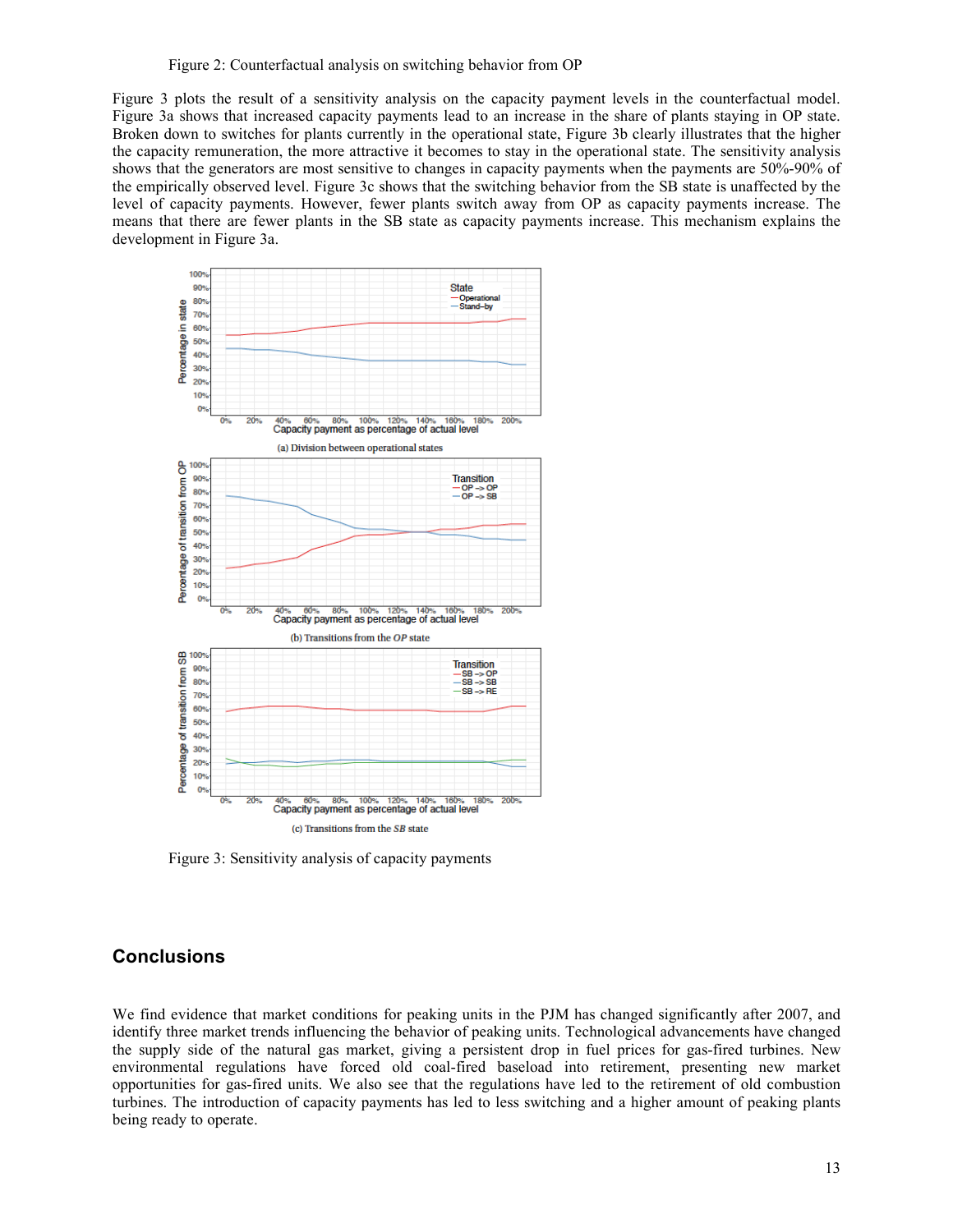Figure 3 plots the result of a sensitivity analysis on the capacity payment levels in the counterfactual model. Figure 3a shows that increased capacity payments lead to an increase in the share of plants staying in OP state. Broken down to switches for plants currently in the operational state, Figure 3b clearly illustrates that the higher the capacity remuneration, the more attractive it becomes to stay in the operational state. The sensitivity analysis shows that the generators are most sensitive to changes in capacity payments when the payments are 50%-90% of the empirically observed level. Figure 3c shows that the switching behavior from the SB state is unaffected by the level of capacity payments. However, fewer plants switch away from OP as capacity payments increase. The means that there are fewer plants in the SB state as capacity payments increase. This mechanism explains the development in Figure 3a.



Figure 3: Sensitivity analysis of capacity payments

### **Conclusions**

We find evidence that market conditions for peaking units in the PJM has changed significantly after 2007, and identify three market trends influencing the behavior of peaking units. Technological advancements have changed the supply side of the natural gas market, giving a persistent drop in fuel prices for gas-fired turbines. New environmental regulations have forced old coal-fired baseload into retirement, presenting new market opportunities for gas-fired units. We also see that the regulations have led to the retirement of old combustion turbines. The introduction of capacity payments has led to less switching and a higher amount of peaking plants being ready to operate.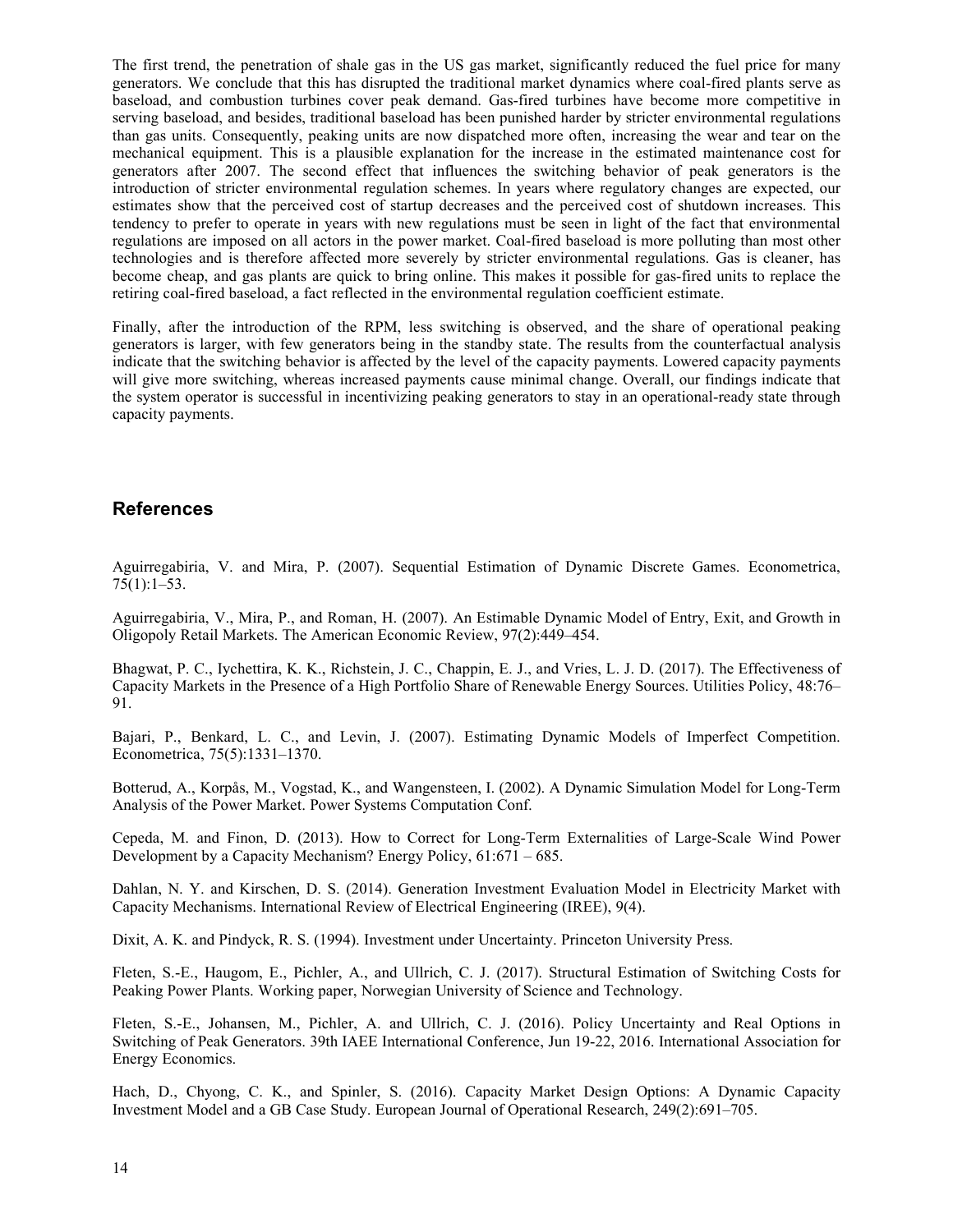The first trend, the penetration of shale gas in the US gas market, significantly reduced the fuel price for many generators. We conclude that this has disrupted the traditional market dynamics where coal-fired plants serve as baseload, and combustion turbines cover peak demand. Gas-fired turbines have become more competitive in serving baseload, and besides, traditional baseload has been punished harder by stricter environmental regulations than gas units. Consequently, peaking units are now dispatched more often, increasing the wear and tear on the mechanical equipment. This is a plausible explanation for the increase in the estimated maintenance cost for generators after 2007. The second effect that influences the switching behavior of peak generators is the introduction of stricter environmental regulation schemes. In years where regulatory changes are expected, our estimates show that the perceived cost of startup decreases and the perceived cost of shutdown increases. This tendency to prefer to operate in years with new regulations must be seen in light of the fact that environmental regulations are imposed on all actors in the power market. Coal-fired baseload is more polluting than most other technologies and is therefore affected more severely by stricter environmental regulations. Gas is cleaner, has become cheap, and gas plants are quick to bring online. This makes it possible for gas-fired units to replace the retiring coal-fired baseload, a fact reflected in the environmental regulation coefficient estimate.

Finally, after the introduction of the RPM, less switching is observed, and the share of operational peaking generators is larger, with few generators being in the standby state. The results from the counterfactual analysis indicate that the switching behavior is affected by the level of the capacity payments. Lowered capacity payments will give more switching, whereas increased payments cause minimal change. Overall, our findings indicate that the system operator is successful in incentivizing peaking generators to stay in an operational-ready state through capacity payments.

### **References**

Aguirregabiria, V. and Mira, P. (2007). Sequential Estimation of Dynamic Discrete Games. Econometrica,  $75(1):1-53.$ 

Aguirregabiria, V., Mira, P., and Roman, H. (2007). An Estimable Dynamic Model of Entry, Exit, and Growth in Oligopoly Retail Markets. The American Economic Review, 97(2):449–454.

Bhagwat, P. C., Iychettira, K. K., Richstein, J. C., Chappin, E. J., and Vries, L. J. D. (2017). The Effectiveness of Capacity Markets in the Presence of a High Portfolio Share of Renewable Energy Sources. Utilities Policy, 48:76– 91.

Bajari, P., Benkard, L. C., and Levin, J. (2007). Estimating Dynamic Models of Imperfect Competition. Econometrica, 75(5):1331–1370.

Botterud, A., Korpås, M., Vogstad, K., and Wangensteen, I. (2002). A Dynamic Simulation Model for Long-Term Analysis of the Power Market. Power Systems Computation Conf.

Cepeda, M. and Finon, D. (2013). How to Correct for Long-Term Externalities of Large-Scale Wind Power Development by a Capacity Mechanism? Energy Policy, 61:671 – 685.

Dahlan, N. Y. and Kirschen, D. S. (2014). Generation Investment Evaluation Model in Electricity Market with Capacity Mechanisms. International Review of Electrical Engineering (IREE), 9(4).

Dixit, A. K. and Pindyck, R. S. (1994). Investment under Uncertainty. Princeton University Press.

Fleten, S.-E., Haugom, E., Pichler, A., and Ullrich, C. J. (2017). Structural Estimation of Switching Costs for Peaking Power Plants. Working paper, Norwegian University of Science and Technology.

Fleten, S.-E., Johansen, M., Pichler, A. and Ullrich, C. J. (2016). Policy Uncertainty and Real Options in Switching of Peak Generators. 39th IAEE International Conference, Jun 19-22, 2016. International Association for Energy Economics.

Hach, D., Chyong, C. K., and Spinler, S. (2016). Capacity Market Design Options: A Dynamic Capacity Investment Model and a GB Case Study. European Journal of Operational Research, 249(2):691–705.